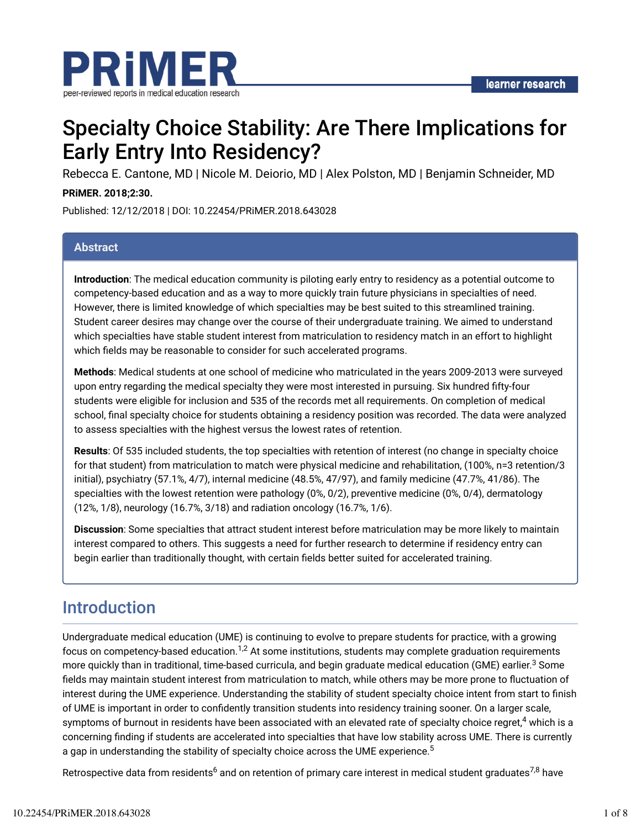

# Specialty Choice Stability: Are There Implications for Early Entry Into Residency?

Rebecca E. Cantone, MD | Nicole M. Deiorio, MD | Alex Polston, MD | Benjamin Schneider, MD

#### **PRiMER. 2018;2:30.**

Published: 12/12/2018 | DOI: 10.22454/PRiMER.2018.643028

#### **Abstract**

**Introduction**: The medical education community is piloting early entry to residency as a potential outcome to competency-based education and as a way to more quickly train future physicians in specialties of need. However, there is limited knowledge of which specialties may be best suited to this streamlined training. Student career desires may change over the course of their undergraduate training. We aimed to understand which specialties have stable student interest from matriculation to residency match in an effort to highlight which fields may be reasonable to consider for such accelerated programs.

**Methods**: Medical students at one school of medicine who matriculated in the years 2009-2013 were surveyed upon entry regarding the medical specialty they were most interested in pursuing. Six hundred fifty-four students were eligible for inclusion and 535 of the records met all requirements. On completion of medical school, final specialty choice for students obtaining a residency position was recorded. The data were analyzed to assess specialties with the highest versus the lowest rates of retention.

**Results**: Of 535 included students, the top specialties with retention of interest (no change in specialty choice for that student) from matriculation to match were physical medicine and rehabilitation, (100%, n=3 retention/3 initial), psychiatry (57.1%, 4/7), internal medicine (48.5%, 47/97), and family medicine (47.7%, 41/86). The specialties with the lowest retention were pathology (0%, 0/2), preventive medicine (0%, 0/4), dermatology (12%, 1/8), neurology (16.7%, 3/18) and radiation oncology (16.7%, 1/6).

**Discussion**: Some specialties that attract student interest before matriculation may be more likely to maintain interest compared to others. This suggests a need for further research to determine if residency entry can begin earlier than traditionally thought, with certain fields better suited for accelerated training.

### Introduction

Undergraduate medical education (UME) is continuing to evolve to prepare students for practice, with a growing focus on competency-based education. $^{1,2}$  At some institutions, students may complete graduation requirements more quickly than in traditional, time-based curricula, and begin graduate medical education (GME) earlier. $^3$  Some fields may maintain student interest from matriculation to match, while others may be more prone to fluctuation of interest during the UME experience. Understanding the stability of student specialty choice intent from start to finish of UME is important in order to confidently transition students into residency training sooner. On a larger scale, symptoms of burnout in residents have been associated with an elevated rate of specialty choice regret, $^4$  which is a concerning finding if students are accelerated into specialties that have low stability across UME. There is currently a gap in understanding the stability of specialty choice across the UME experience. $^{\rm 5}$ 

Retrospective data from residents<sup>6</sup> and on retention of primary care interest in medical student graduates<sup>7,8</sup> have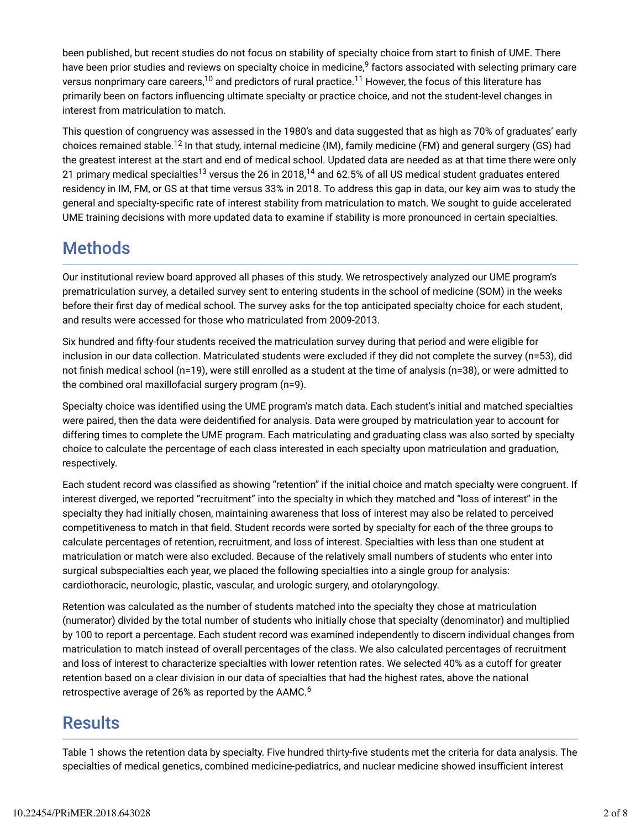been published, but recent studies do not focus on stability of specialty choice from start to finish of UME. There have been prior studies and reviews on specialty choice in medicine,<sup>9</sup> factors associated with selecting primary care versus nonprimary care careers, $^{\rm 10}$  and predictors of rural practice. $^{\rm 11}$  However, the focus of this literature has primarily been on factors influencing ultimate specialty or practice choice, and not the student-level changes in interest from matriculation to match.

This question of congruency was assessed in the 1980's and data suggested that as high as 70% of graduates' early choices remained stable.<sup>12</sup> In that study, internal medicine (IM), family medicine (FM) and general surgery (GS) had the greatest interest at the start and end of medical school. Updated data are needed as at that time there were only 21 primary medical specialties<sup>13</sup> versus the 26 in 2018,<sup>14</sup> and 62.5% of all US medical student graduates entered residency in IM, FM, or GS at that time versus 33% in 2018. To address this gap in data, our key aim was to study the general and specialty-specific rate of interest stability from matriculation to match. We sought to guide accelerated UME training decisions with more updated data to examine if stability is more pronounced in certain specialties.

## **Methods**

Our institutional review board approved all phases of this study. We retrospectively analyzed our UME program's prematriculation survey, a detailed survey sent to entering students in the school of medicine (SOM) in the weeks before their first day of medical school. The survey asks for the top anticipated specialty choice for each student, and results were accessed for those who matriculated from 2009-2013.

Six hundred and fifty-four students received the matriculation survey during that period and were eligible for inclusion in our data collection. Matriculated students were excluded if they did not complete the survey (n=53), did not finish medical school (n=19), were still enrolled as a student at the time of analysis (n=38), or were admitted to the combined oral maxillofacial surgery program (n=9).

Specialty choice was identified using the UME program's match data. Each student's initial and matched specialties were paired, then the data were deidentified for analysis. Data were grouped by matriculation year to account for differing times to complete the UME program. Each matriculating and graduating class was also sorted by specialty choice to calculate the percentage of each class interested in each specialty upon matriculation and graduation, respectively.

Each student record was classified as showing "retention" if the initial choice and match specialty were congruent. If interest diverged, we reported "recruitment" into the specialty in which they matched and "loss of interest" in the specialty they had initially chosen, maintaining awareness that loss of interest may also be related to perceived competitiveness to match in that field. Student records were sorted by specialty for each of the three groups to calculate percentages of retention, recruitment, and loss of interest. Specialties with less than one student at matriculation or match were also excluded. Because of the relatively small numbers of students who enter into surgical subspecialties each year, we placed the following specialties into a single group for analysis: cardiothoracic, neurologic, plastic, vascular, and urologic surgery, and otolaryngology.

Retention was calculated as the number of students matched into the specialty they chose at matriculation (numerator) divided by the total number of students who initially chose that specialty (denominator) and multiplied by 100 to report a percentage. Each student record was examined independently to discern individual changes from matriculation to match instead of overall percentages of the class. We also calculated percentages of recruitment and loss of interest to characterize specialties with lower retention rates. We selected 40% as a cutoff for greater retention based on a clear division in our data of specialties that had the highest rates, above the national retrospective average of 26% as reported by the AAMC. $^6$ 

### **Results**

Table 1 shows the retention data by specialty. Five hundred thirty-five students met the criteria for data analysis. The specialties of medical genetics, combined medicine-pediatrics, and nuclear medicine showed insufficient interest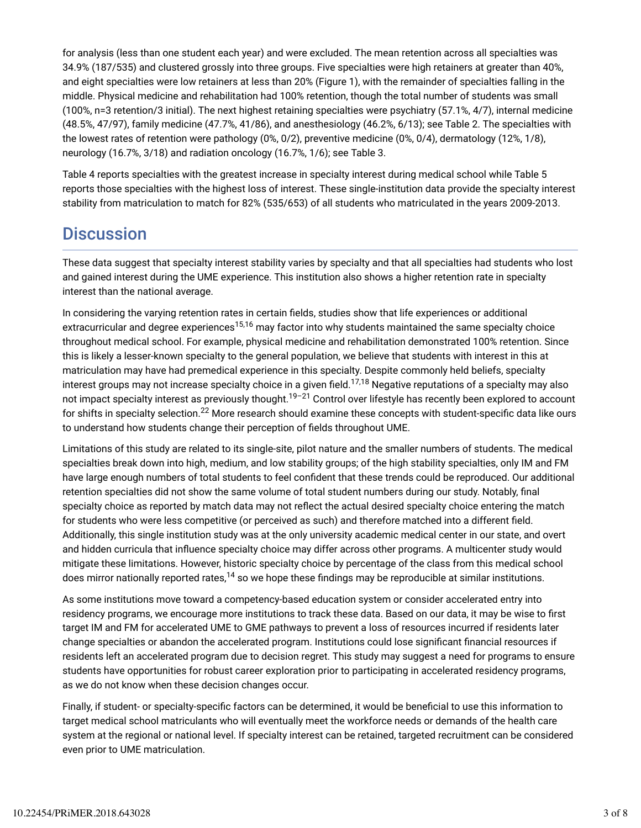for analysis (less than one student each year) and were excluded. The mean retention across all specialties was 34.9% (187/535) and clustered grossly into three groups. Five specialties were high retainers at greater than 40%, and eight specialties were low retainers at less than 20% (Figure 1), with the remainder of specialties falling in the middle. Physical medicine and rehabilitation had 100% retention, though the total number of students was small (100%, n=3 retention/3 initial). The next highest retaining specialties were psychiatry (57.1%, 4/7), internal medicine (48.5%, 47/97), family medicine (47.7%, 41/86), and anesthesiology (46.2%, 6/13); see Table 2. The specialties with the lowest rates of retention were pathology (0%, 0/2), preventive medicine (0%, 0/4), dermatology (12%, 1/8), neurology (16.7%, 3/18) and radiation oncology (16.7%, 1/6); see Table 3.

Table 4 reports specialties with the greatest increase in specialty interest during medical school while Table 5 reports those specialties with the highest loss of interest. These single-institution data provide the specialty interest stability from matriculation to match for 82% (535/653) of all students who matriculated in the years 2009-2013.

### **Discussion**

These data suggest that specialty interest stability varies by specialty and that all specialties had students who lost and gained interest during the UME experience. This institution also shows a higher retention rate in specialty interest than the national average.

In considering the varying retention rates in certain fields, studies show that life experiences or additional extracurricular and degree experiences<sup>15,16</sup> may factor into why students maintained the same specialty choice throughout medical school. For example, physical medicine and rehabilitation demonstrated 100% retention. Since this is likely a lesser-known specialty to the general population, we believe that students with interest in this at matriculation may have had premedical experience in this specialty. Despite commonly held beliefs, specialty interest groups may not increase specialty choice in a given field. $^{17,18}$  Negative reputations of a specialty may also not impact specialty interest as previously thought.<sup>19–21</sup> Control over lifestyle has recently been explored to account for shifts in specialty selection. $^{22}$  More research should examine these concepts with student-specific data like ours to understand how students change their perception of fields throughout UME.

Limitations of this study are related to its single-site, pilot nature and the smaller numbers of students. The medical specialties break down into high, medium, and low stability groups; of the high stability specialties, only IM and FM have large enough numbers of total students to feel confident that these trends could be reproduced. Our additional retention specialties did not show the same volume of total student numbers during our study. Notably, final specialty choice as reported by match data may not reflect the actual desired specialty choice entering the match for students who were less competitive (or perceived as such) and therefore matched into a different field. Additionally, this single institution study was at the only university academic medical center in our state, and overt and hidden curricula that influence specialty choice may differ across other programs. A multicenter study would mitigate these limitations. However, historic specialty choice by percentage of the class from this medical school does mirror nationally reported rates, $^{\text{14}}$  so we hope these findings may be reproducible at similar institutions.

As some institutions move toward a competency-based education system or consider accelerated entry into residency programs, we encourage more institutions to track these data. Based on our data, it may be wise to first target IM and FM for accelerated UME to GME pathways to prevent a loss of resources incurred if residents later change specialties or abandon the accelerated program. Institutions could lose significant financial resources if residents left an accelerated program due to decision regret. This study may suggest a need for programs to ensure students have opportunities for robust career exploration prior to participating in accelerated residency programs, as we do not know when these decision changes occur.

Finally, if student- or specialty-specific factors can be determined, it would be beneficial to use this information to target medical school matriculants who will eventually meet the workforce needs or demands of the health care system at the regional or national level. If specialty interest can be retained, targeted recruitment can be considered even prior to UME matriculation.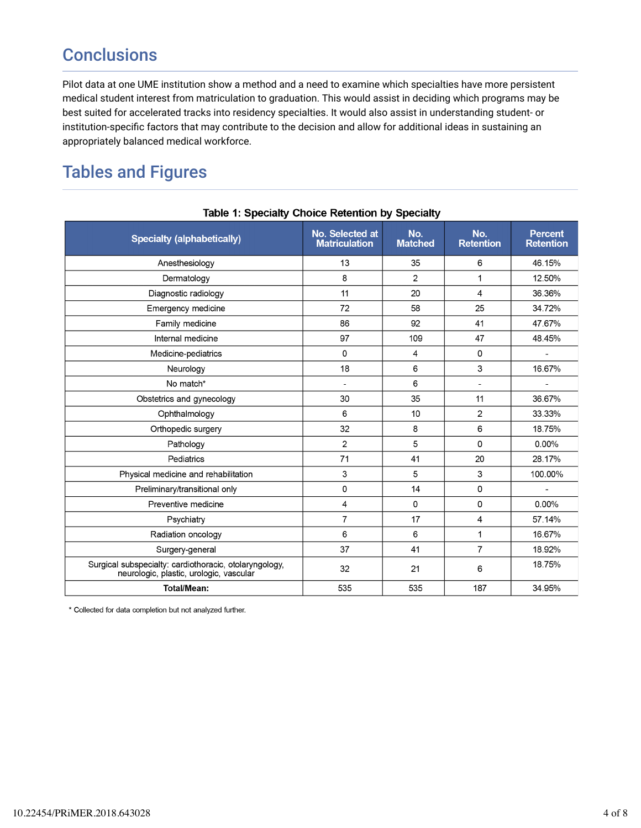# **Conclusions**

Pilot data at one UME institution show a method and a need to examine which specialties have more persistent medical student interest from matriculation to graduation. This would assist in deciding which programs may be best suited for accelerated tracks into residency specialties. It would also assist in understanding student- or institution-specific factors that may contribute to the decision and allow for additional ideas in sustaining an appropriately balanced medical workforce.

# Tables and Figures

| <b>Specialty (alphabetically)</b>                                                                 | No. Selected at<br><b>Matriculation</b> | No.<br><b>Matched</b> | No.<br><b>Retention</b> | <b>Percent</b><br><b>Retention</b> |
|---------------------------------------------------------------------------------------------------|-----------------------------------------|-----------------------|-------------------------|------------------------------------|
| Anesthesiology                                                                                    | 13                                      | 35                    | 6                       | 46.15%                             |
| Dermatology                                                                                       | 8                                       | 2                     | $\mathbf{1}$            | 12.50%                             |
| Diagnostic radiology                                                                              | 11                                      | 20                    | 4                       | 36.36%                             |
| Emergency medicine                                                                                | 72                                      | 58                    | 25                      | 34.72%                             |
| Family medicine                                                                                   | 86                                      | 92                    | 41                      | 47.67%                             |
| Internal medicine                                                                                 | 97                                      | 109                   | 47                      | 48.45%                             |
| Medicine-pediatrics                                                                               | 0                                       | 4                     | 0                       |                                    |
| Neurology                                                                                         | 18                                      | 6                     | 3                       | 16.67%                             |
| No match*                                                                                         | $\overline{\phantom{a}}$                | 6                     | ٠                       |                                    |
| Obstetrics and gynecology                                                                         | 30                                      | 35                    | 11                      | 36.67%                             |
| Ophthalmology                                                                                     | 6                                       | 10                    | $\overline{2}$          | 33.33%                             |
| Orthopedic surgery                                                                                | 32                                      | 8                     | 6                       | 18.75%                             |
| Pathology                                                                                         | $\overline{2}$                          | 5                     | 0                       | 0.00%                              |
| Pediatrics                                                                                        | 71                                      | 41                    | 20                      | 28.17%                             |
| Physical medicine and rehabilitation                                                              | 3                                       | 5                     | $\mathbf{3}$            | 100.00%                            |
| Preliminary/transitional only                                                                     | 0                                       | 14                    | 0                       |                                    |
| Preventive medicine                                                                               | $\overline{\mathbf{4}}$                 | 0                     | 0                       | 0.00%                              |
| Psychiatry                                                                                        | $\overline{7}$                          | 17                    | 4                       | 57.14%                             |
| Radiation oncology                                                                                | 6                                       | 6                     | 1                       | 16.67%                             |
| Surgery-general                                                                                   | 37                                      | 41                    | $\overline{7}$          | 18.92%                             |
| Surgical subspecialty: cardiothoracic, otolaryngology,<br>neurologic, plastic, urologic, vascular | 32                                      | 21                    | 6                       | 18.75%                             |
| <b>Total/Mean:</b>                                                                                | 535                                     | 535                   | 187                     | 34 95%                             |

#### Table 1: Specialty Choice Retention by Specialty

\* Collected for data completion but not analyzed further.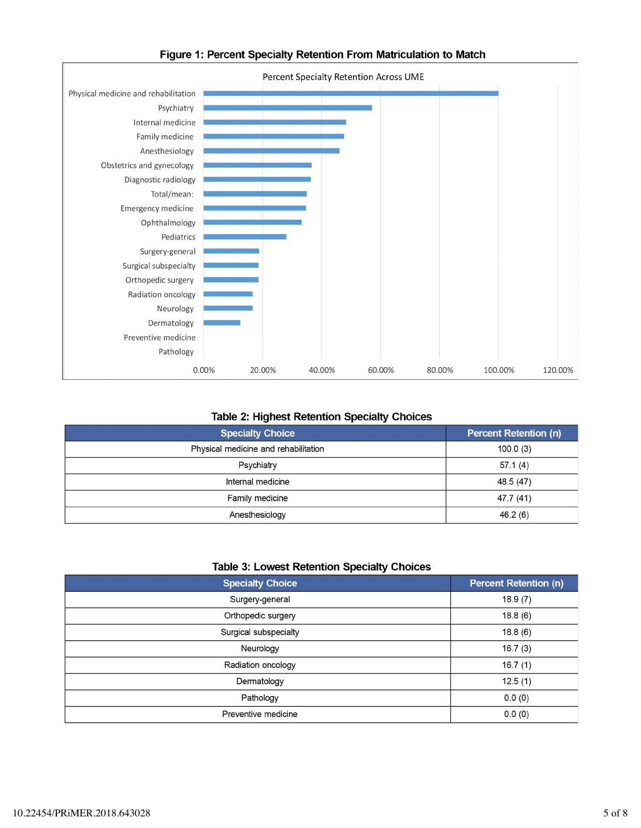

#### Figure 1: Percent Specialty Retention From Matriculation to Match

#### **Table 2: Highest Retention Specialty Choices**

| <b>Specialty Choice</b>              | <b>Percent Retention (n)</b> |
|--------------------------------------|------------------------------|
| Physical medicine and rehabilitation | 100.0(3)                     |
| Psychiatry                           | 57.1(4)                      |
| Internal medicine                    | 48.5 (47)                    |
| Family medicine                      | 47.7 (41)                    |
| Anesthesiology                       | 46.2(6)                      |

#### **Table 3: Lowest Retention Specialty Choices**

| <b>Specialty Choice</b> | <b>Percent Retention (n)</b> |
|-------------------------|------------------------------|
| Surgery-general         | 18.9(7)                      |
| Orthopedic surgery      | 18.8(6)                      |
| Surgical subspecialty   | 18.8(6)                      |
| Neurology               | 16.7(3)                      |
| Radiation oncology      | 16.7(1)                      |
| Dermatology             | 12.5(1)                      |
| Pathology               | 0.0(0)                       |
| Preventive medicine     | 0.0(0)                       |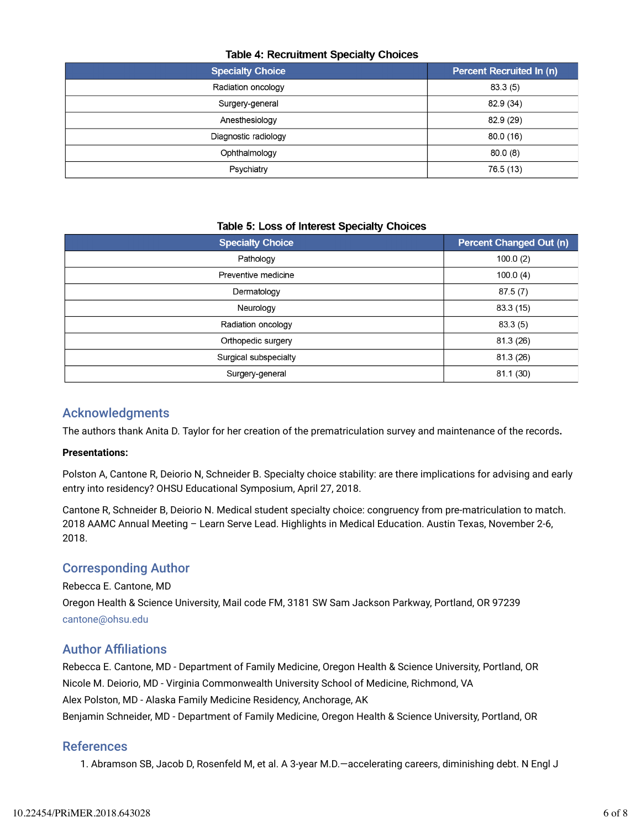#### **Table 4: Recruitment Specialty Choices**

| <b>Specialty Choice</b> | <b>Percent Recruited In (n)</b> |
|-------------------------|---------------------------------|
| Radiation oncology      | 83.3(5)                         |
| Surgery-general         | 82.9 (34)                       |
| Anesthesiology          | 82.9 (29)                       |
| Diagnostic radiology    | 80.0(16)                        |
| Ophthalmology           | 80.0(8)                         |
| Psychiatry              | 76.5 (13)                       |

#### Table 5: Loss of Interest Specialty Choices

| <b>Specialty Choice</b> | <b>Percent Changed Out (n)</b> |
|-------------------------|--------------------------------|
| Pathology               | 100.0(2)                       |
| Preventive medicine     | 100.0(4)                       |
| Dermatology             | 87.5(7)                        |
| Neurology               | 83.3 (15)                      |
| Radiation oncology      | 83.3(5)                        |
| Orthopedic surgery      | 81.3 (26)                      |
| Surgical subspecialty   | 81.3 (26)                      |
| Surgery-general         | 81.1 (30)                      |

#### Acknowledgments

The authors thank Anita D. Taylor for her creation of the prematriculation survey and maintenance of the records**.**

#### **Presentations:**

Polston A, Cantone R, Deiorio N, Schneider B. Specialty choice stability: are there implications for advising and early entry into residency? OHSU Educational Symposium, April 27, 2018.

Cantone R, Schneider B, Deiorio N. Medical student specialty choice: congruency from pre-matriculation to match. 2018 AAMC Annual Meeting – Learn Serve Lead. Highlights in Medical Education. Austin Texas, November 2-6, 2018.

#### Corresponding Author

Rebecca E. Cantone, MD

Oregon Health & Science University, Mail code FM, 3181 SW Sam Jackson Parkway, Portland, OR 97239 cantone@ohsu.edu

#### **Author Affiliations**

Rebecca E. Cantone, MD - Department of Family Medicine, Oregon Health & Science University, Portland, OR Nicole M. Deiorio, MD - Virginia Commonwealth University School of Medicine, Richmond, VA Alex Polston, MD - Alaska Family Medicine Residency, Anchorage, AK Benjamin Schneider, MD - Department of Family Medicine, Oregon Health & Science University, Portland, OR

#### References

1. Abramson SB, Jacob D, Rosenfeld M, et al. A 3-year M.D.—accelerating careers, diminishing debt. N Engl J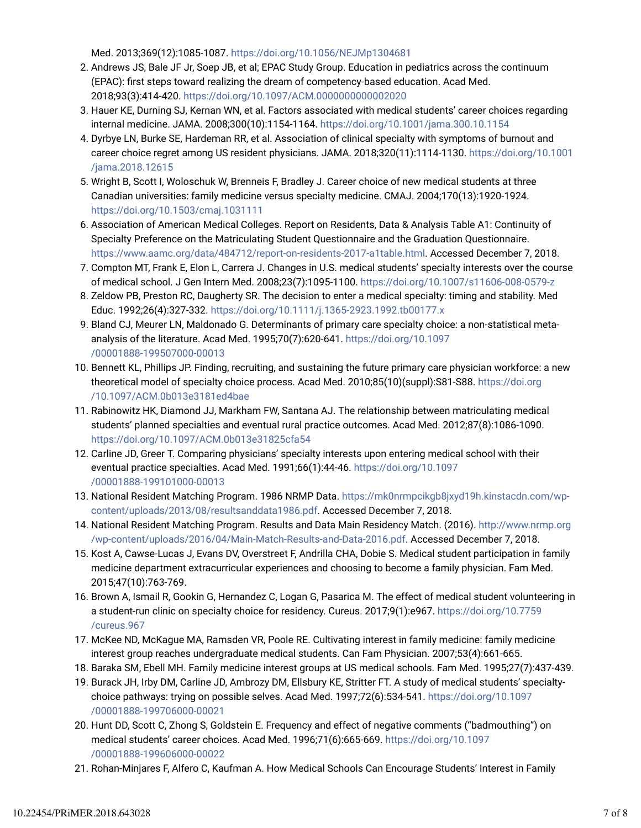Med. 2013;369(12):1085-1087. https://doi.org/10.1056/NEJMp1304681

- 2. Andrews JS, Bale JF Jr, Soep JB, et al; EPAC Study Group. Education in pediatrics across the continuum (EPAC): first steps toward realizing the dream of competency-based education. Acad Med. 2018;93(3):414-420. https://doi.org/10.1097/ACM.0000000000002020
- 3. Hauer KE, Durning SJ, Kernan WN, et al. Factors associated with medical students' career choices regarding internal medicine. JAMA. 2008;300(10):1154-1164. https://doi.org/10.1001/jama.300.10.1154
- 4. Dyrbye LN, Burke SE, Hardeman RR, et al. Association of clinical specialty with symptoms of burnout and career choice regret among US resident physicians. JAMA. 2018;320(11):1114-1130. https://doi.org/10.1001 /jama.2018.12615
- 5. Wright B, Scott I, Woloschuk W, Brenneis F, Bradley J. Career choice of new medical students at three Canadian universities: family medicine versus specialty medicine. CMAJ. 2004;170(13):1920-1924. https://doi.org/10.1503/cmaj.1031111
- 6. Association of American Medical Colleges. Report on Residents, Data & Analysis Table A1: Continuity of Specialty Preference on the Matriculating Student Questionnaire and the Graduation Questionnaire. https://www.aamc.org/data/484712/report-on-residents-2017-a1table.html. Accessed December 7, 2018.
- 7. Compton MT, Frank E, Elon L, Carrera J. Changes in U.S. medical students' specialty interests over the course of medical school. J Gen Intern Med. 2008;23(7):1095-1100. https://doi.org/10.1007/s11606-008-0579-z
- 8. Zeldow PB, Preston RC, Daugherty SR. The decision to enter a medical specialty: timing and stability. Med Educ. 1992;26(4):327-332. https://doi.org/10.1111/j.1365-2923.1992.tb00177.x
- Bland CJ, Meurer LN, Maldonado G. Determinants of primary care specialty choice: a non-statistical meta-9. analysis of the literature. Acad Med. 1995;70(7):620-641. https://doi.org/10.1097 /00001888-199507000-00013
- 10. Bennett KL, Phillips JP. Finding, recruiting, and sustaining the future primary care physician workforce: a new theoretical model of specialty choice process. Acad Med. 2010;85(10)(suppl):S81-S88. https://doi.org /10.1097/ACM.0b013e3181ed4bae
- 11. Rabinowitz HK, Diamond JJ, Markham FW, Santana AJ. The relationship between matriculating medical students' planned specialties and eventual rural practice outcomes. Acad Med. 2012;87(8):1086-1090. https://doi.org/10.1097/ACM.0b013e31825cfa54
- 12. Carline JD, Greer T. Comparing physicians' specialty interests upon entering medical school with their eventual practice specialties. Acad Med. 1991;66(1):44-46. https://doi.org/10.1097 /00001888-199101000-00013
- 13. National Resident Matching Program. 1986 NRMP Data. https://mk0nrmpcikgb8jxyd19h.kinstacdn.com/wpcontent/uploads/2013/08/resultsanddata1986.pdf. Accessed December 7, 2018.
- 14. National Resident Matching Program. Results and Data Main Residency Match. (2016). http://www.nrmp.org /wp-content/uploads/2016/04/Main-Match-Results-and-Data-2016.pdf. Accessed December 7, 2018.
- 15. Kost A, Cawse-Lucas J, Evans DV, Overstreet F, Andrilla CHA, Dobie S. Medical student participation in family medicine department extracurricular experiences and choosing to become a family physician. Fam Med. 2015;47(10):763-769.
- 16. Brown A, Ismail R, Gookin G, Hernandez C, Logan G, Pasarica M. The effect of medical student volunteering in a student-run clinic on specialty choice for residency. Cureus. 2017;9(1):e967. https://doi.org/10.7759 /cureus.967
- 17. McKee ND, McKague MA, Ramsden VR, Poole RE. Cultivating interest in family medicine: family medicine interest group reaches undergraduate medical students. Can Fam Physician. 2007;53(4):661-665.
- 18. Baraka SM, Ebell MH. Family medicine interest groups at US medical schools. Fam Med. 1995;27(7):437-439.
- 19. Burack JH, Irby DM, Carline JD, Ambrozy DM, Ellsbury KE, Stritter FT. A study of medical students' specialtychoice pathways: trying on possible selves. Acad Med. 1997;72(6):534-541. https://doi.org/10.1097 /00001888-199706000-00021
- 20. Hunt DD, Scott C, Zhong S, Goldstein E. Frequency and effect of negative comments ("badmouthing") on medical students' career choices. Acad Med. 1996;71(6):665-669. https://doi.org/10.1097 /00001888-199606000-00022
- 21. Rohan-Minjares F, Alfero C, Kaufman A. How Medical Schools Can Encourage Students' Interest in Family